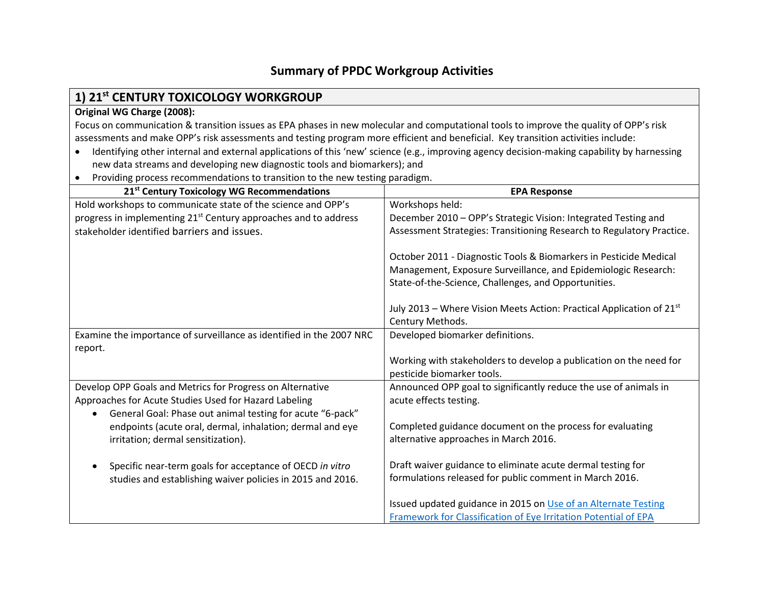# **Summary of PPDC Workgroup Activities**

# **1) 21st CENTURY TOXICOLOGY WORKGROUP**

#### **Original WG Charge (2008):**

Focus on communication & transition issues as EPA phases in new molecular and computational tools to improve the quality of OPP's risk assessments and make OPP's risk assessments and testing program more efficient and beneficial. Key transition activities include:

- Identifying other internal and external applications of this 'new' science (e.g., improving agency decision-making capability by harnessing new data streams and developing new diagnostic tools and biomarkers); and
- Providing process recommendations to transition to the new testing paradigm.

| 21 <sup>st</sup> Century Toxicology WG Recommendations                      | <b>EPA Response</b>                                                   |
|-----------------------------------------------------------------------------|-----------------------------------------------------------------------|
| Hold workshops to communicate state of the science and OPP's                | Workshops held:                                                       |
| progress in implementing 21 <sup>st</sup> Century approaches and to address | December 2010 - OPP's Strategic Vision: Integrated Testing and        |
| stakeholder identified barriers and issues.                                 | Assessment Strategies: Transitioning Research to Regulatory Practice. |
|                                                                             |                                                                       |
|                                                                             | October 2011 - Diagnostic Tools & Biomarkers in Pesticide Medical     |
|                                                                             | Management, Exposure Surveillance, and Epidemiologic Research:        |
|                                                                             | State-of-the-Science, Challenges, and Opportunities.                  |
|                                                                             |                                                                       |
|                                                                             | July 2013 - Where Vision Meets Action: Practical Application of 21st  |
|                                                                             | Century Methods.                                                      |
| Examine the importance of surveillance as identified in the 2007 NRC        | Developed biomarker definitions.                                      |
| report.                                                                     |                                                                       |
|                                                                             | Working with stakeholders to develop a publication on the need for    |
|                                                                             | pesticide biomarker tools.                                            |
| Develop OPP Goals and Metrics for Progress on Alternative                   | Announced OPP goal to significantly reduce the use of animals in      |
| Approaches for Acute Studies Used for Hazard Labeling                       | acute effects testing.                                                |
| General Goal: Phase out animal testing for acute "6-pack"                   |                                                                       |
| endpoints (acute oral, dermal, inhalation; dermal and eye                   | Completed guidance document on the process for evaluating             |
| irritation; dermal sensitization).                                          | alternative approaches in March 2016.                                 |
|                                                                             |                                                                       |
| Specific near-term goals for acceptance of OECD in vitro                    | Draft waiver guidance to eliminate acute dermal testing for           |
| studies and establishing waiver policies in 2015 and 2016.                  | formulations released for public comment in March 2016.               |
|                                                                             |                                                                       |
|                                                                             | Issued updated guidance in 2015 on Use of an Alternate Testing        |
|                                                                             | Framework for Classification of Eye Irritation Potential of EPA       |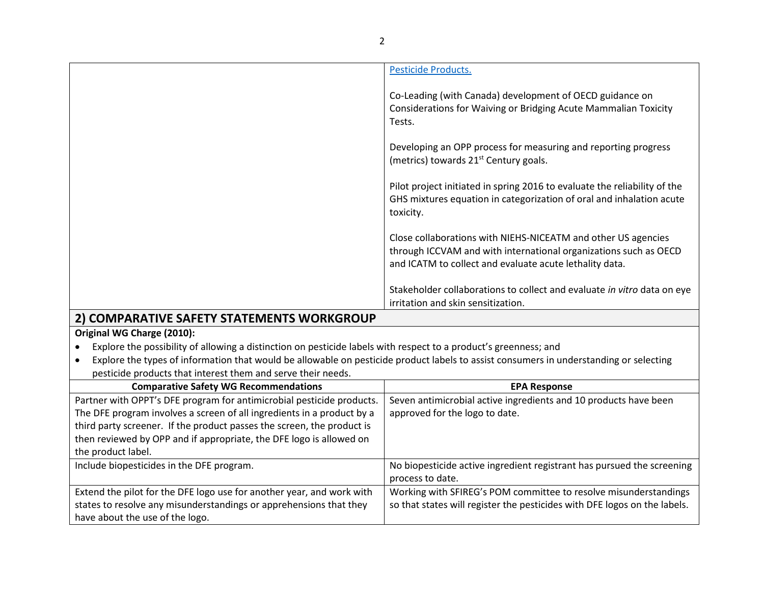|                                            | Pesticide Products.                                                                                                                                                                          |
|--------------------------------------------|----------------------------------------------------------------------------------------------------------------------------------------------------------------------------------------------|
|                                            | Co-Leading (with Canada) development of OECD guidance on<br>Considerations for Waiving or Bridging Acute Mammalian Toxicity<br>Tests.                                                        |
|                                            | Developing an OPP process for measuring and reporting progress<br>(metrics) towards 21 <sup>st</sup> Century goals.                                                                          |
|                                            | Pilot project initiated in spring 2016 to evaluate the reliability of the<br>GHS mixtures equation in categorization of oral and inhalation acute<br>toxicity.                               |
|                                            | Close collaborations with NIEHS-NICEATM and other US agencies<br>through ICCVAM and with international organizations such as OECD<br>and ICATM to collect and evaluate acute lethality data. |
| 2) COMPARATIVE CAEETY CTATEMENTS MORVEROUD | Stakeholder collaborations to collect and evaluate in vitro data on eye<br>irritation and skin sensitization.                                                                                |

## **2) COMPARATIVE SAFETY STATEMENTS WORKGROUP**

#### **Original WG Charge (2010):**

- Explore the possibility of allowing a distinction on pesticide labels with respect to a product's greenness; and
- Explore the types of information that would be allowable on pesticide product labels to assist consumers in understanding or selecting pesticide products that interest them and serve their needs.

| <b>Comparative Safety WG Recommendations</b>                           | <b>EPA Response</b>                                                       |
|------------------------------------------------------------------------|---------------------------------------------------------------------------|
| Partner with OPPT's DFE program for antimicrobial pesticide products.  | Seven antimicrobial active ingredients and 10 products have been          |
| The DFE program involves a screen of all ingredients in a product by a | approved for the logo to date.                                            |
| third party screener. If the product passes the screen, the product is |                                                                           |
| then reviewed by OPP and if appropriate, the DFE logo is allowed on    |                                                                           |
| the product label.                                                     |                                                                           |
| Include biopesticides in the DFE program.                              | No biopesticide active ingredient registrant has pursued the screening    |
|                                                                        | process to date.                                                          |
| Extend the pilot for the DFE logo use for another year, and work with  | Working with SFIREG's POM committee to resolve misunderstandings          |
| states to resolve any misunderstandings or apprehensions that they     | so that states will register the pesticides with DFE logos on the labels. |
| have about the use of the logo.                                        |                                                                           |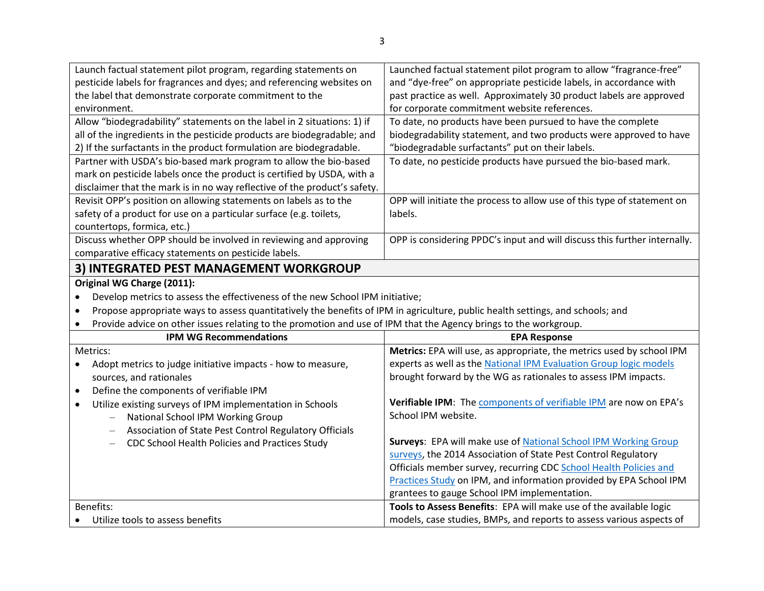| Launch factual statement pilot program, regarding statements on                                                                             | Launched factual statement pilot program to allow "fragrance-free"        |
|---------------------------------------------------------------------------------------------------------------------------------------------|---------------------------------------------------------------------------|
| pesticide labels for fragrances and dyes; and referencing websites on                                                                       | and "dye-free" on appropriate pesticide labels, in accordance with        |
| the label that demonstrate corporate commitment to the                                                                                      | past practice as well. Approximately 30 product labels are approved       |
| environment.                                                                                                                                | for corporate commitment website references.                              |
| Allow "biodegradability" statements on the label in 2 situations: 1) if                                                                     | To date, no products have been pursued to have the complete               |
| all of the ingredients in the pesticide products are biodegradable; and                                                                     | biodegradability statement, and two products were approved to have        |
| 2) If the surfactants in the product formulation are biodegradable.                                                                         | "biodegradable surfactants" put on their labels.                          |
| Partner with USDA's bio-based mark program to allow the bio-based                                                                           | To date, no pesticide products have pursued the bio-based mark.           |
| mark on pesticide labels once the product is certified by USDA, with a                                                                      |                                                                           |
| disclaimer that the mark is in no way reflective of the product's safety.                                                                   |                                                                           |
| Revisit OPP's position on allowing statements on labels as to the                                                                           | OPP will initiate the process to allow use of this type of statement on   |
| safety of a product for use on a particular surface (e.g. toilets,                                                                          | labels.                                                                   |
| countertops, formica, etc.)                                                                                                                 |                                                                           |
| Discuss whether OPP should be involved in reviewing and approving                                                                           | OPP is considering PPDC's input and will discuss this further internally. |
| comparative efficacy statements on pesticide labels.                                                                                        |                                                                           |
| 3) INTEGRATED PEST MANAGEMENT WORKGROUP                                                                                                     |                                                                           |
| Original WG Charge (2011):                                                                                                                  |                                                                           |
| Develop metrics to assess the effectiveness of the new School IPM initiative;<br>$\bullet$                                                  |                                                                           |
| Propose appropriate ways to assess quantitatively the benefits of IPM in agriculture, public health settings, and schools; and<br>$\bullet$ |                                                                           |
| Provide advice on other issues relating to the promotion and use of IPM that the Agency brings to the workgroup.<br>$\bullet$               |                                                                           |
| <b>IPM WG Recommendations</b>                                                                                                               | <b>EPA Response</b>                                                       |
| Metrics:                                                                                                                                    | Metrics: EPA will use, as appropriate, the metrics used by school IPM     |
| Adopt metrics to judge initiative impacts - how to measure,                                                                                 | experts as well as the National IPM Evaluation Group logic models         |
| sources, and rationales                                                                                                                     | brought forward by the WG as rationales to assess IPM impacts.            |
| Define the components of verifiable IPM<br>$\bullet$                                                                                        |                                                                           |
| Utilize existing surveys of IPM implementation in Schools<br>$\bullet$                                                                      | Verifiable IPM: The components of verifiable IPM are now on EPA's         |
| National School IPM Working Group                                                                                                           | School IPM website.                                                       |
| Association of State Pest Control Regulatory Officials                                                                                      |                                                                           |
| CDC School Health Policies and Practices Study                                                                                              | Surveys: EPA will make use of National School IPM Working Group           |
|                                                                                                                                             | surveys, the 2014 Association of State Pest Control Regulatory            |
|                                                                                                                                             | Officials member survey, recurring CDC School Health Policies and         |
|                                                                                                                                             | Practices Study on IPM, and information provided by EPA School IPM        |
|                                                                                                                                             | grantees to gauge School IPM implementation.                              |
| <b>Benefits:</b>                                                                                                                            | Tools to Assess Benefits: EPA will make use of the available logic        |
| Utilize tools to assess benefits                                                                                                            | models, case studies, BMPs, and reports to assess various aspects of      |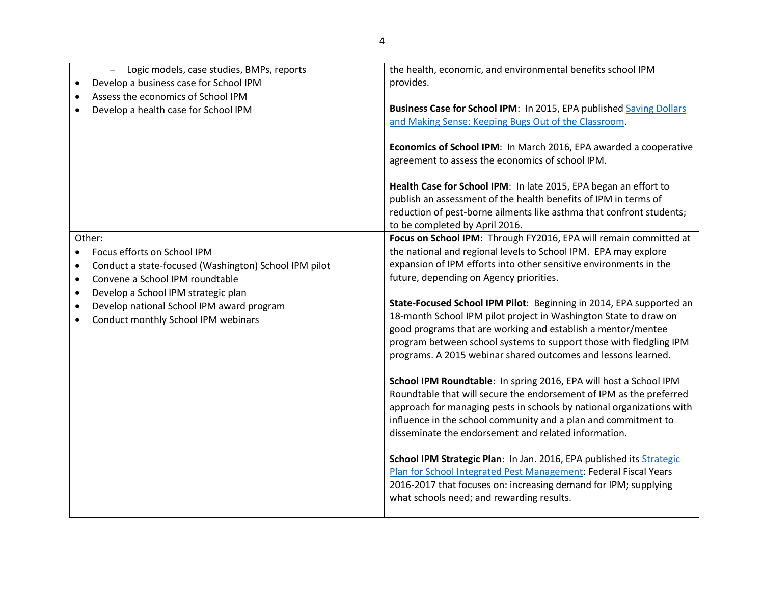| Logic models, case studies, BMPs, reports<br>$\equiv$<br>Develop a business case for School IPM<br>Assess the economics of School IPM<br>Develop a health case for School IPM                                                                                                                                                              | the health, economic, and environmental benefits school IPM<br>provides.<br>Business Case for School IPM: In 2015, EPA published Saving Dollars<br>and Making Sense: Keeping Bugs Out of the Classroom.<br>Economics of School IPM: In March 2016, EPA awarded a cooperative<br>agreement to assess the economics of school IPM.<br>Health Case for School IPM: In late 2015, EPA began an effort to<br>publish an assessment of the health benefits of IPM in terms of<br>reduction of pest-borne ailments like asthma that confront students;<br>to be completed by April 2016.                                                                                                                                                                                                                                                                                                                                                                                                                                                                                                                                                                                                                                 |
|--------------------------------------------------------------------------------------------------------------------------------------------------------------------------------------------------------------------------------------------------------------------------------------------------------------------------------------------|-------------------------------------------------------------------------------------------------------------------------------------------------------------------------------------------------------------------------------------------------------------------------------------------------------------------------------------------------------------------------------------------------------------------------------------------------------------------------------------------------------------------------------------------------------------------------------------------------------------------------------------------------------------------------------------------------------------------------------------------------------------------------------------------------------------------------------------------------------------------------------------------------------------------------------------------------------------------------------------------------------------------------------------------------------------------------------------------------------------------------------------------------------------------------------------------------------------------|
| Other:<br>Focus efforts on School IPM<br>$\bullet$<br>Conduct a state-focused (Washington) School IPM pilot<br>$\bullet$<br>Convene a School IPM roundtable<br>$\bullet$<br>Develop a School IPM strategic plan<br>$\bullet$<br>Develop national School IPM award program<br>$\bullet$<br>Conduct monthly School IPM webinars<br>$\bullet$ | Focus on School IPM: Through FY2016, EPA will remain committed at<br>the national and regional levels to School IPM. EPA may explore<br>expansion of IPM efforts into other sensitive environments in the<br>future, depending on Agency priorities.<br>State-Focused School IPM Pilot: Beginning in 2014, EPA supported an<br>18-month School IPM pilot project in Washington State to draw on<br>good programs that are working and establish a mentor/mentee<br>program between school systems to support those with fledgling IPM<br>programs. A 2015 webinar shared outcomes and lessons learned.<br>School IPM Roundtable: In spring 2016, EPA will host a School IPM<br>Roundtable that will secure the endorsement of IPM as the preferred<br>approach for managing pests in schools by national organizations with<br>influence in the school community and a plan and commitment to<br>disseminate the endorsement and related information.<br>School IPM Strategic Plan: In Jan. 2016, EPA published its Strategic<br>Plan for School Integrated Pest Management: Federal Fiscal Years<br>2016-2017 that focuses on: increasing demand for IPM; supplying<br>what schools need; and rewarding results. |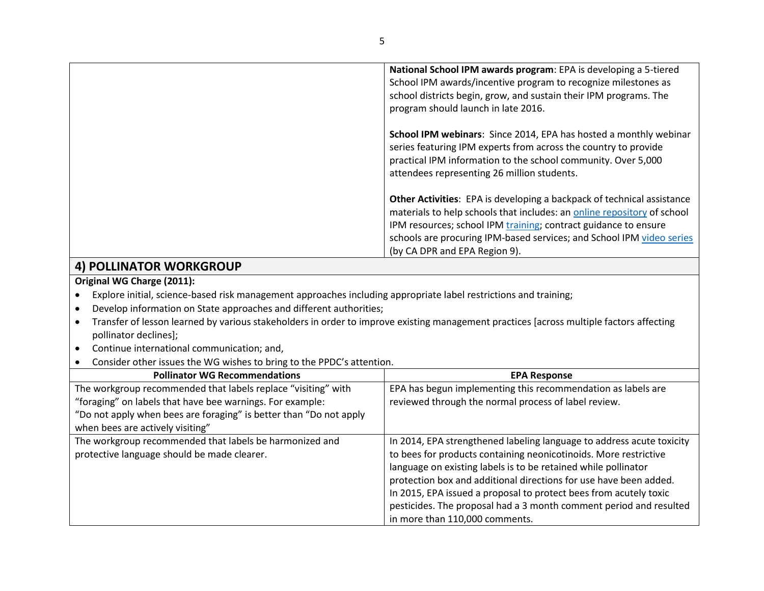|                                                                                                                                                                                                                                                                                                                                                                                                                                                             | National School IPM awards program: EPA is developing a 5-tiered<br>School IPM awards/incentive program to recognize milestones as<br>school districts begin, grow, and sustain their IPM programs. The<br>program should launch in late 2016.                                                                                        |
|-------------------------------------------------------------------------------------------------------------------------------------------------------------------------------------------------------------------------------------------------------------------------------------------------------------------------------------------------------------------------------------------------------------------------------------------------------------|---------------------------------------------------------------------------------------------------------------------------------------------------------------------------------------------------------------------------------------------------------------------------------------------------------------------------------------|
|                                                                                                                                                                                                                                                                                                                                                                                                                                                             | School IPM webinars: Since 2014, EPA has hosted a monthly webinar<br>series featuring IPM experts from across the country to provide<br>practical IPM information to the school community. Over 5,000<br>attendees representing 26 million students.                                                                                  |
|                                                                                                                                                                                                                                                                                                                                                                                                                                                             | <b>Other Activities:</b> EPA is developing a backpack of technical assistance<br>materials to help schools that includes: an online repository of school<br>IPM resources; school IPM training; contract guidance to ensure<br>schools are procuring IPM-based services; and School IPM video series<br>(by CA DPR and EPA Region 9). |
| $\lambda$ , $\lambda$ , $\lambda$ , $\lambda$ , $\lambda$ , $\lambda$ , $\lambda$ , $\lambda$ , $\lambda$ , $\lambda$ , $\lambda$ , $\lambda$ , $\lambda$ , $\lambda$ , $\lambda$ , $\lambda$ , $\lambda$ , $\lambda$ , $\lambda$ , $\lambda$ , $\lambda$ , $\lambda$ , $\lambda$ , $\lambda$ , $\lambda$ , $\lambda$ , $\lambda$ , $\lambda$ , $\lambda$ , $\lambda$ , $\lambda$ , $\lambda$ , $\lambda$ , $\lambda$ , $\lambda$ , $\lambda$ , $\lambda$ , |                                                                                                                                                                                                                                                                                                                                       |

### **4) POLLINATOR WORKGROUP**

#### **Original WG Charge (2011):**

- Explore initial, science-based risk management approaches including appropriate label restrictions and training;
- Develop information on State approaches and different authorities;
- Transfer of lesson learned by various stakeholders in order to improve existing management practices [across multiple factors affecting pollinator declines];
- Continue international communication; and,
- Consider other issues the WG wishes to bring to the PPDC's attention.

| <b>Pollinator WG Recommendations</b>                               | <b>EPA Response</b>                                                   |
|--------------------------------------------------------------------|-----------------------------------------------------------------------|
| The workgroup recommended that labels replace "visiting" with      | EPA has begun implementing this recommendation as labels are          |
| "foraging" on labels that have bee warnings. For example:          | reviewed through the normal process of label review.                  |
| "Do not apply when bees are foraging" is better than "Do not apply |                                                                       |
| when bees are actively visiting"                                   |                                                                       |
| The workgroup recommended that labels be harmonized and            | In 2014, EPA strengthened labeling language to address acute toxicity |
| protective language should be made clearer.                        | to bees for products containing neonicotinoids. More restrictive      |
|                                                                    | language on existing labels is to be retained while pollinator        |
|                                                                    | protection box and additional directions for use have been added.     |
|                                                                    | In 2015, EPA issued a proposal to protect bees from acutely toxic     |
|                                                                    | pesticides. The proposal had a 3 month comment period and resulted    |
|                                                                    | in more than 110,000 comments.                                        |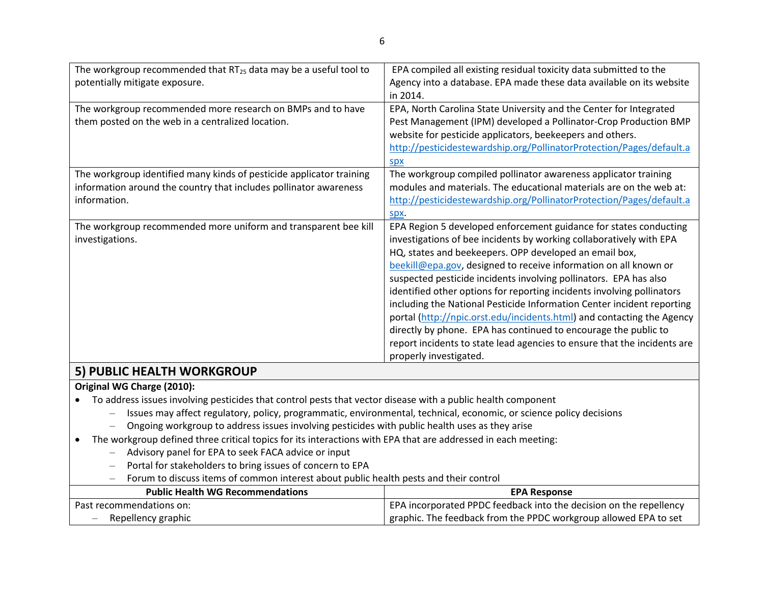| The workgroup recommended that $RT_{25}$ data may be a useful tool to | EPA compiled all existing residual toxicity data submitted to the        |
|-----------------------------------------------------------------------|--------------------------------------------------------------------------|
| potentially mitigate exposure.                                        | Agency into a database. EPA made these data available on its website     |
|                                                                       | in 2014.                                                                 |
| The workgroup recommended more research on BMPs and to have           | EPA, North Carolina State University and the Center for Integrated       |
| them posted on the web in a centralized location.                     | Pest Management (IPM) developed a Pollinator-Crop Production BMP         |
|                                                                       | website for pesticide applicators, beekeepers and others.                |
|                                                                       | http://pesticidestewardship.org/PollinatorProtection/Pages/default.a     |
|                                                                       | <b>Spx</b>                                                               |
| The workgroup identified many kinds of pesticide applicator training  | The workgroup compiled pollinator awareness applicator training          |
| information around the country that includes pollinator awareness     | modules and materials. The educational materials are on the web at:      |
| information.                                                          | http://pesticidestewardship.org/PollinatorProtection/Pages/default.a     |
|                                                                       | spx.                                                                     |
| The workgroup recommended more uniform and transparent bee kill       | EPA Region 5 developed enforcement guidance for states conducting        |
| investigations.                                                       | investigations of bee incidents by working collaboratively with EPA      |
|                                                                       | HQ, states and beekeepers. OPP developed an email box,                   |
|                                                                       | beekill@epa.gov, designed to receive information on all known or         |
|                                                                       | suspected pesticide incidents involving pollinators. EPA has also        |
|                                                                       | identified other options for reporting incidents involving pollinators   |
|                                                                       | including the National Pesticide Information Center incident reporting   |
|                                                                       | portal (http://npic.orst.edu/incidents.html) and contacting the Agency   |
|                                                                       | directly by phone. EPA has continued to encourage the public to          |
|                                                                       | report incidents to state lead agencies to ensure that the incidents are |
|                                                                       | properly investigated.                                                   |
| $\mathsf{L}$ bubye ufaitu wabyabaya                                   |                                                                          |

# **5) PUBLIC HEALTH WORKGROUP**

#### **Original WG Charge (2010):**

To address issues involving pesticides that control pests that vector disease with a public health component

- Issues may affect regulatory, policy, programmatic, environmental, technical, economic, or science policy decisions
- Ongoing workgroup to address issues involving pesticides with public health uses as they arise
- The workgroup defined three critical topics for its interactions with EPA that are addressed in each meeting:
	- Advisory panel for EPA to seek FACA advice or input
	- Portal for stakeholders to bring issues of concern to EPA
	- Forum to discuss items of common interest about public health pests and their control

| <b>Public Health WG Recommendations</b>        | <b>EPA Response</b>                                                |
|------------------------------------------------|--------------------------------------------------------------------|
| Past recommendations on:                       | EPA incorporated PPDC feedback into the decision on the repellency |
| Repellency graphic<br>$\overline{\phantom{a}}$ | graphic. The feedback from the PPDC workgroup allowed EPA to set   |